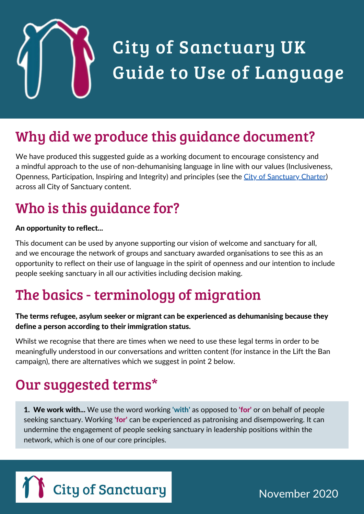

## City of Sanctuary UK Guide to Use of Language

### Why did we produce this guidance document?

We have produced this suggested guide as a working document to encourage consistency and a mindful approach to the use of non-dehumanising language in line with our values (Inclusiveness, Openness, Participation, Inspiring and Integrity) and principles (see the City of [Sanctuary](https://cityofsanctuary.org/wp-content/uploads/2017/05/Charter-single-pages-for-printing.pdf) Charter) across all City of Sanctuary content.

### Who is this guidance for?

#### An opportunity to reflect...

This document can be used by anyone supporting our vision of welcome and sanctuary for all, and we encourage the network of groups and sanctuary awarded organisations to see this as an opportunity to reflect on their use of language in the spirit of openness and our intention to include people seeking sanctuary in all our activities including decision making.

#### The basics - terminology of migration

#### The terms refugee, asylum seeker or migrant can be experienced as dehumanising because they define a person according to their immigration status.

Whilst we recognise that there are times when we need to use these legal terms in order to be meaningfully understood in our conversations and written content (for instance in the Lift the Ban campaign), there are alternatives which we suggest in point 2 below.

#### Our suggested terms\*

**1. We work with...** We use the word working 'with' as opposed to 'for' or on behalf of people seeking sanctuary. Working **'for'** can be experienced as patronising and disempowering. It can undermine the engagement of people seeking sanctuary in leadership positions within the network, which is one of our core principles.



November 2020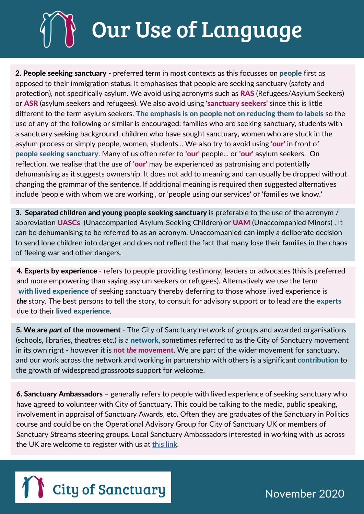# Our Use of Language

2. People seeking sanctuary - preferred term in most contexts as this focusses on people first as opposed to their immigration status. It emphasises that people are seeking sanctuary (safety and protection), not specifically asylum. We avoid using acronyms such as RAS (Refugees/Asylum Seekers) or ASR (asylum seekers and refugees). We also avoid using 'sanctuary seekers' since this is little different to the term asylum seekers. The emphasis is on people not on reducing them to labels so the use of any of the following or similar is encouraged: families who are seeking sanctuary, students with a sanctuary seeking background, children who have sought sanctuary, women who are stuck in the asylum process or simply people, women, students... We also try to avoid using 'our' in front of people seeking sanctuary. Many of us often refer to 'our' people... or 'our' asylum seekers. On reflection, we realise that the use of 'our' may be experienced as patronising and potentially dehumanising as it suggests ownership. It does not add to meaning and can usually be dropped without changing the grammar of the sentence. If additional meaning is required then suggested alternatives include 'people with whom we are working', or 'people using our services' or 'families we know.'

3. Separated children and young people seeking sanctuary is preferable to the use of the acronym / abbreviation **UASCs** (Unaccompanied Asylum-Seeking Children) or **UAM** (Unaccompanied Minors). It can be dehumanising to be referred to as an acronym. Unaccompanied can imply a deliberate decision to send lone children into danger and does not reflect the fact that many lose their families in the chaos of fleeing war and other dangers.

4. Experts by experience - refers to people providing testimony, leaders or advocates (this is preferred and more empowering than saying asylum seekers or refugees). Alternatively we use the term with lived experience of seeking sanctuary thereby deferring to those whose lived experience is *the* story. The best persons to tell the story, to consult for advisory support or to lead are the experts due to their lived experience.

5. We are *part* of the movement - The City of Sanctuary network of groups and awarded organisations (schools, libraries, theatres etc.) is a network, sometimes referred to as the City of Sanctuary movement in its own right - however it is not *the* movement. We are part of the wider movement for sanctuary, and our work across the network and working in partnership with others is a significant contribution to the growth of widespread grassroots support for welcome.

6. Sanctuary Ambassadors – generally refers to people with lived experience of seeking sanctuary who have agreed to volunteer with City of Sanctuary. This could be talking to the media, public speaking, involvement in appraisal of Sanctuary Awards, etc. Often they are graduates of the Sanctuary in Politics course and could be on the Operational Advisory Group for City of Sanctuary UK or members of Sanctuary Streams steering groups. Local Sanctuary Ambassadors interested in working with us across the UK are welcome to register with us at [this](https://data.cityofsanctuary.org/sanctuary/ambassador#overlay-context=civicrm) link.



September 2020 November 2020